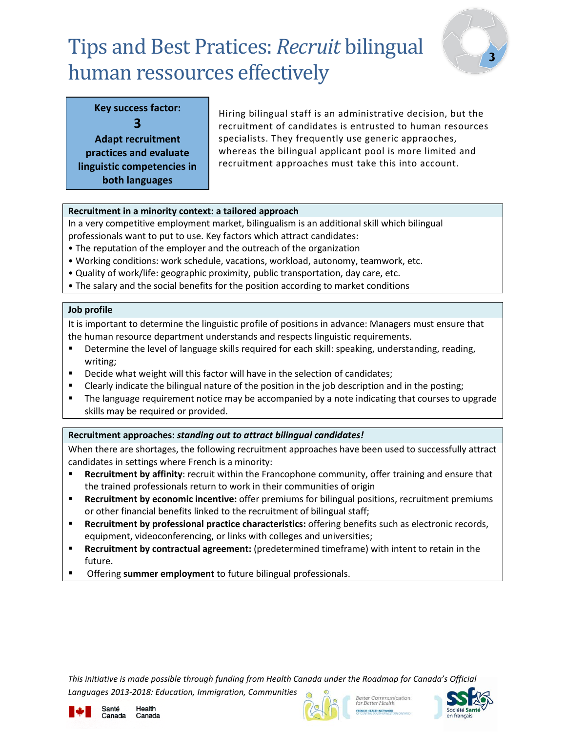# Tips and Best Pratices: *Recruit* bilingual human ressources effectively



## **Key success factor: 3**

**Adapt recruitment practices and evaluate linguistic competencies in both languages**

Hiring bilingual staff is an administrative decision, but the recruitment of candidates is entrusted to human resources specialists. They frequently use generic appraoches, whereas the bilingual applicant pool is more limited and recruitment approaches must take this into account.

## **Recruitment in a minority context: a tailored approach**

In a very competitive employment market, bilingualism is an additional skill which bilingual professionals want to put to use. Key factors which attract candidates:

- The reputation of the employer and the outreach of the organization
- Working conditions: work schedule, vacations, workload, autonomy, teamwork, etc.
- Quality of work/life: geographic proximity, public transportation, day care, etc.
- The salary and the social benefits for the position according to market conditions

## **Job profile**

It is important to determine the linguistic profile of positions in advance: Managers must ensure that the human resource department understands and respects linguistic requirements.

- **Determine the level of language skills required for each skill: speaking, understanding, reading,** writing;
- Decide what weight will this factor will have in the selection of candidates;
- Clearly indicate the bilingual nature of the position in the job description and in the posting;
- **The language requirement notice may be accompanied by a note indicating that courses to upgrade** skills may be required or provided.

## **Recruitment approaches:** *standing out to attract bilingual candidates!*

When there are shortages, the following recruitment approaches have been used to successfully attract candidates in settings where French is a minority:

- **Recruitment by affinity**: recruit within the Francophone community, offer training and ensure that the trained professionals return to work in their communities of origin
- **Recruitment by economic incentive:** offer premiums for bilingual positions, recruitment premiums or other financial benefits linked to the recruitment of bilingual staff;
- **Recruitment by professional practice characteristics:** offering benefits such as electronic records, equipment, videoconferencing, or links with colleges and universities;
- **Recruitment by contractual agreement:** (predetermined timeframe) with intent to retain in the future.
- Offering **summer employment** to future bilingual professionals.

*This initiative is made possible through funding from Health Canada under the Roadmap for Canada's Official Languages 2013-2018: Education, Immigration, Communities*